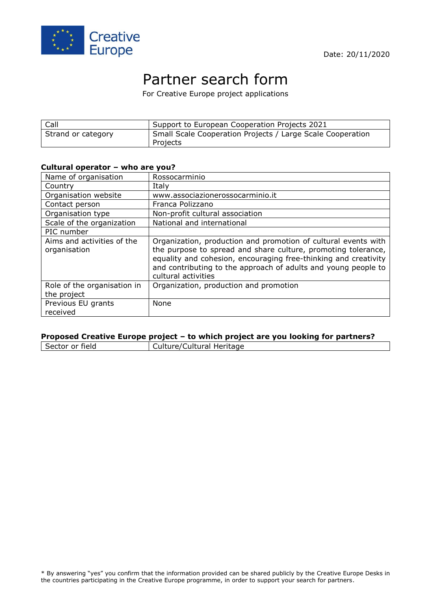

# Partner search form

For Creative Europe project applications

| Call               | Support to European Cooperation Projects 2021                          |
|--------------------|------------------------------------------------------------------------|
| Strand or category | Small Scale Cooperation Projects / Large Scale Cooperation<br>Projects |

#### **Cultural operator – who are you?**

| Name of organisation                       | Rossocarminio                                                                                                                                                                                                                                                                               |
|--------------------------------------------|---------------------------------------------------------------------------------------------------------------------------------------------------------------------------------------------------------------------------------------------------------------------------------------------|
| Country                                    | Italy                                                                                                                                                                                                                                                                                       |
| Organisation website                       | www.associazionerossocarminio.it                                                                                                                                                                                                                                                            |
| Contact person                             | Franca Polizzano                                                                                                                                                                                                                                                                            |
| Organisation type                          | Non-profit cultural association                                                                                                                                                                                                                                                             |
| Scale of the organization                  | National and international                                                                                                                                                                                                                                                                  |
| PIC number                                 |                                                                                                                                                                                                                                                                                             |
| Aims and activities of the<br>organisation | Organization, production and promotion of cultural events with<br>the purpose to spread and share culture, promoting tolerance,<br>equality and cohesion, encouraging free-thinking and creativity<br>and contributing to the approach of adults and young people to<br>cultural activities |
| Role of the organisation in<br>the project | Organization, production and promotion                                                                                                                                                                                                                                                      |
| Previous EU grants<br>received             | None                                                                                                                                                                                                                                                                                        |

### **Proposed Creative Europe project – to which project are you looking for partners?**

Culture/Cultural Heritage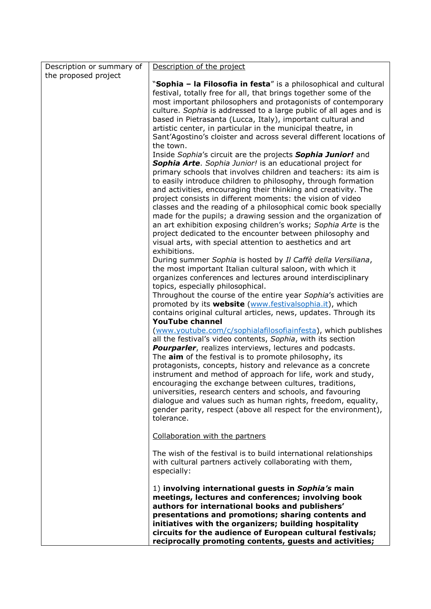| Description or summary of | Description of the project                                                                                                           |
|---------------------------|--------------------------------------------------------------------------------------------------------------------------------------|
| the proposed project      |                                                                                                                                      |
|                           | "Sophia - la Filosofia in festa" is a philosophical and cultural<br>festival, totally free for all, that brings together some of the |
|                           | most important philosophers and protagonists of contemporary                                                                         |
|                           | culture. Sophia is addressed to a large public of all ages and is                                                                    |
|                           | based in Pietrasanta (Lucca, Italy), important cultural and                                                                          |
|                           | artistic center, in particular in the municipal theatre, in                                                                          |
|                           | Sant'Agostino's cloister and across several different locations of                                                                   |
|                           | the town.                                                                                                                            |
|                           | Inside Sophia's circuit are the projects Sophia Junior! and                                                                          |
|                           | Sophia Arte. Sophia Junior! is an educational project for                                                                            |
|                           | primary schools that involves children and teachers: its aim is<br>to easily introduce children to philosophy, through formation     |
|                           | and activities, encouraging their thinking and creativity. The                                                                       |
|                           | project consists in different moments: the vision of video                                                                           |
|                           | classes and the reading of a philosophical comic book specially                                                                      |
|                           | made for the pupils; a drawing session and the organization of                                                                       |
|                           | an art exhibition exposing children's works; Sophia Arte is the                                                                      |
|                           | project dedicated to the encounter between philosophy and                                                                            |
|                           | visual arts, with special attention to aesthetics and art                                                                            |
|                           | exhibitions.<br>During summer Sophia is hosted by Il Caffè della Versiliana,                                                         |
|                           | the most important Italian cultural saloon, with which it                                                                            |
|                           | organizes conferences and lectures around interdisciplinary                                                                          |
|                           | topics, especially philosophical.                                                                                                    |
|                           | Throughout the course of the entire year Sophia's activities are                                                                     |
|                           | promoted by its <b>website</b> (www.festivalsophia.it), which                                                                        |
|                           | contains original cultural articles, news, updates. Through its                                                                      |
|                           | <b>YouTube channel</b>                                                                                                               |
|                           | (www.youtube.com/c/sophialafilosofiainfesta), which publishes<br>all the festival's video contents, Sophia, with its section         |
|                           | <b>Pourparler</b> , realizes interviews, lectures and podcasts.                                                                      |
|                           | The aim of the festival is to promote philosophy, its                                                                                |
|                           | protagonists, concepts, history and relevance as a concrete                                                                          |
|                           | instrument and method of approach for life, work and study,                                                                          |
|                           | encouraging the exchange between cultures, traditions,                                                                               |
|                           | universities, research centers and schools, and favouring                                                                            |
|                           | dialogue and values such as human rights, freedom, equality,                                                                         |
|                           | gender parity, respect (above all respect for the environment),<br>tolerance.                                                        |
|                           |                                                                                                                                      |
|                           | Collaboration with the partners                                                                                                      |
|                           |                                                                                                                                      |
|                           | The wish of the festival is to build international relationships<br>with cultural partners actively collaborating with them,         |
|                           | especially:                                                                                                                          |
|                           |                                                                                                                                      |
|                           | 1) involving international guests in Sophia's main                                                                                   |
|                           | meetings, lectures and conferences; involving book                                                                                   |
|                           | authors for international books and publishers'                                                                                      |
|                           | presentations and promotions; sharing contents and                                                                                   |
|                           | initiatives with the organizers; building hospitality<br>circuits for the audience of European cultural festivals;                   |
|                           | reciprocally promoting contents, guests and activities;                                                                              |